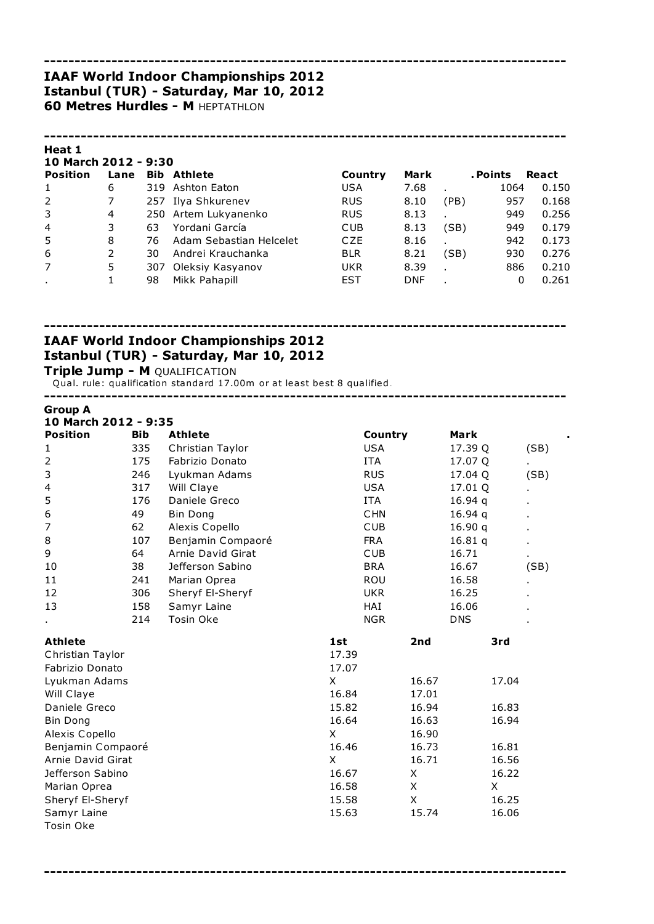#### ------------------------------------------------------------------------------------- IAAF World Indoor Championships 2012 Istanbul (TUR) - Saturday, Mar 10, 2012 **60 Metres Hurdles - M HEPTATHLON**

#### Heat 1 10 March 2012 - 9:30

| 10 MAILII 2012 - 9.30 |      |     |                         |            |            |      |          |       |
|-----------------------|------|-----|-------------------------|------------|------------|------|----------|-------|
| <b>Position</b>       | Lane |     | <b>Bib Athlete</b>      | Country    | Mark       |      | . Points | React |
|                       | 6    |     | 319 Ashton Eaton        | <b>USA</b> | 7.68       |      | 1064     | 0.150 |
| 2                     |      |     | 257 Ilya Shkurenev      | <b>RUS</b> | 8.10       | (PB) | 957      | 0.168 |
| 3                     | 4    |     | 250 Artem Lukyanenko    | <b>RUS</b> | 8.13       |      | 949      | 0.256 |
| $\overline{4}$        | 3    | 63  | Yordani García          | <b>CUB</b> | 8.13       | (SB) | 949      | 0.179 |
| 5                     | 8    | 76  | Adam Sebastian Helcelet | <b>CZE</b> | 8.16       |      | 942      | 0.173 |
| 6                     |      | 30  | Andrei Krauchanka       | <b>BLR</b> | 8.21       | (SB) | 930      | 0.276 |
| $\overline{7}$        | 5    | 307 | Oleksiy Kasyanov        | UKR        | 8.39       |      | 886      | 0.210 |
|                       |      | 98  | Mikk Pahapill           | <b>EST</b> | <b>DNF</b> |      | 0        | 0.261 |
|                       |      |     |                         |            |            |      |          |       |

-------------------------------------------------------------------------------------

-------------------------------------------------------------------------------------

# IAAF World Indoor Championships 2012 Istanbul (TUR) - Saturday, Mar 10, 2012

Triple Jump - M QUALIFICATION

Qual. rule: qualification standard 17.00m or at least best 8 qualified.

-------------------------------------------------------------------------------------

| <b>Group A</b>       |            |                   |            |             |             |      |
|----------------------|------------|-------------------|------------|-------------|-------------|------|
| 10 March 2012 - 9:35 |            |                   |            |             |             |      |
| <b>Position</b>      | <b>Bib</b> | <b>Athlete</b>    | Country    |             | <b>Mark</b> |      |
| 1                    | 335        | Christian Taylor  | <b>USA</b> |             | 17.39 Q     | (SB) |
| $\overline{2}$       | 175        | Fabrizio Donato   | ITA        |             | 17.07 Q     |      |
| 3                    | 246        | Lyukman Adams     | <b>RUS</b> |             | 17.04 Q     | (SB) |
| 4                    | 317        | Will Claye        | <b>USA</b> |             | 17.01 Q     |      |
| 5                    | 176        | Daniele Greco     | <b>ITA</b> |             | 16.94q      |      |
| 6                    | 49         | <b>Bin Dong</b>   | <b>CHN</b> |             | 16.94q      |      |
| 7                    | 62         | Alexis Copello    | <b>CUB</b> |             | 16.90q      |      |
| 8                    | 107        | Benjamin Compaoré | <b>FRA</b> |             | 16.81q      |      |
| 9                    | 64         | Arnie David Girat | <b>CUB</b> |             | 16.71       | ٠    |
| 10                   | 38         | Jefferson Sabino  | <b>BRA</b> |             | 16.67       | (SB) |
| 11                   | 241        | Marian Oprea      | ROU        |             | 16.58       |      |
| 12                   | 306        | Sheryf El-Sheryf  | <b>UKR</b> |             | 16.25       |      |
| 13                   | 158        | Samyr Laine       | HAI        |             | 16.06       |      |
|                      | 214        | Tosin Oke         | <b>NGR</b> |             | <b>DNS</b>  |      |
| <b>Athlete</b>       |            |                   | 1st        | 2nd         | 3rd         |      |
| Christian Taylor     |            |                   | 17.39      |             |             |      |
| Fabrizio Donato      |            |                   | 17.07      |             |             |      |
| Lyukman Adams        |            |                   | X          | 16.67       | 17.04       |      |
| Will Claye           |            |                   | 16.84      | 17.01       |             |      |
| Daniele Greco        |            |                   | 15.82      | 16.94       | 16.83       |      |
| <b>Bin Dong</b>      |            |                   | 16.64      | 16.63       | 16.94       |      |
| Alexis Copello       |            |                   | X          | 16.90       |             |      |
| Benjamin Compaoré    |            |                   | 16.46      | 16.73       | 16.81       |      |
| Arnie David Girat    |            |                   | X          | 16.71       | 16.56       |      |
| Jefferson Sabino     |            |                   | 16.67      | X           | 16.22       |      |
| Marian Oprea         |            |                   | 16.58      | $\mathsf X$ | X           |      |
| Sheryf El-Sheryf     |            |                   | 15.58      | X           | 16.25       |      |
| Samyr Laine          |            |                   | 15.63      | 15.74       | 16.06       |      |
| Tosin Oke            |            |                   |            |             |             |      |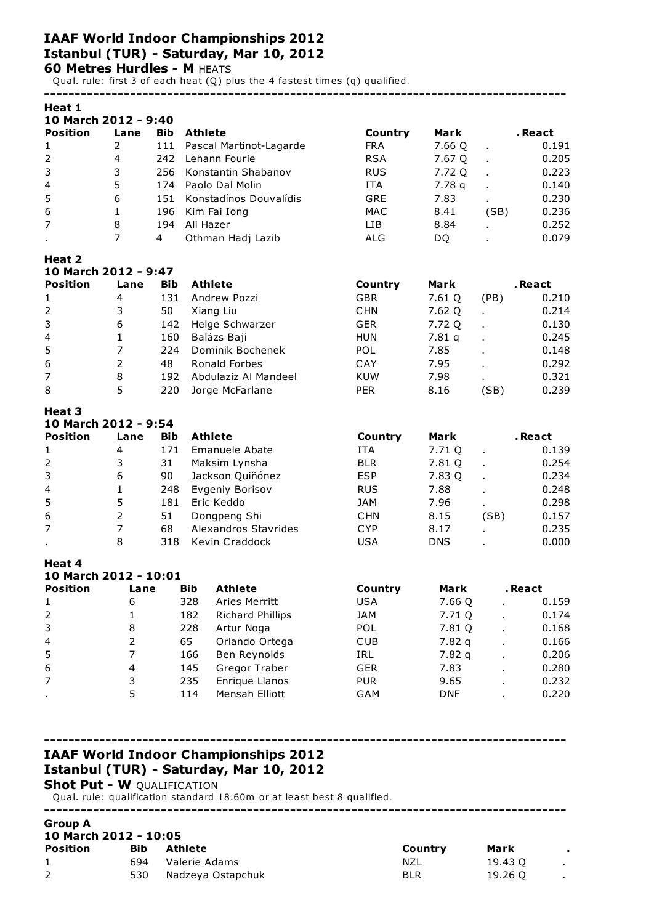## IAAF World Indoor Championships 2012 Istanbul (TUR) - Saturday, Mar 10, 2012 **60 Metres Hurdles - M HEATS**

Qual. rule: first 3 of each heat (Q) plus the 4 fastest times (q) qualified.

| Heat 1                                   |                          |            |                |                              |                          |            |                |                |
|------------------------------------------|--------------------------|------------|----------------|------------------------------|--------------------------|------------|----------------|----------------|
| 10 March 2012 - 9:40                     |                          |            |                |                              |                          |            |                |                |
| <b>Position</b>                          | Lane                     | <b>Bib</b> | Athlete        |                              | Country                  | Mark       |                | . React        |
| $\mathbf{1}$                             | 2                        | 111        |                | Pascal Martinot-Lagarde      | <b>FRA</b>               | 7.66 Q     | ï              | 0.191          |
| $\overline{2}$                           | $\overline{4}$           | 242        |                | Lehann Fourie                | <b>RSA</b>               | 7.67 Q     | ä,             | 0.205          |
| 3                                        | 3                        | 256        |                | Konstantin Shabanov          | <b>RUS</b>               | 7.72 Q     |                | 0.223          |
| 4                                        | 5                        | 174        |                | Paolo Dal Molin              | <b>ITA</b>               | 7.78q      |                | 0.140          |
| 5                                        | 6                        | 151        |                | Konstadínos Douvalídis       | GRE                      | 7.83       |                | 0.230          |
| 6                                        | 1                        | 196        |                | Kim Fai Iong                 | <b>MAC</b>               | 8.41       | (SB)           | 0.236          |
| 7                                        | 8                        | 194        | Ali Hazer      |                              | LIВ                      | 8.84       | ä,             | 0.252          |
|                                          | $\overline{7}$           | 4          |                | Othman Hadj Lazib            | <b>ALG</b>               | DQ         |                | 0.079          |
| Heat 2<br>10 March 2012 - 9:47           |                          |            |                |                              |                          |            |                |                |
| <b>Position</b>                          | Lane                     | <b>Bib</b> | <b>Athlete</b> |                              | Country                  | Mark       |                | . React        |
| $\mathbf{1}$                             | 4                        | 131        |                | Andrew Pozzi                 | <b>GBR</b>               | 7.61 Q     | (PB)           | 0.210          |
| $\mathbf 2$                              | 3                        | 50         |                | Xiang Liu                    | <b>CHN</b>               | 7.62 Q     | ×,             | 0.214          |
| 3                                        | 6                        | 142        |                | Helge Schwarzer              | <b>GER</b>               | 7.72 Q     |                | 0.130          |
| 4                                        | 1                        | 160        |                | Balázs Baji                  | <b>HUN</b>               | 7.81q      |                | 0.245          |
| 5                                        | $\overline{7}$           | 224        |                | Dominik Bochenek             | POL                      | 7.85       |                | 0.148          |
| 6                                        | $\overline{2}$           | 48         |                | Ronald Forbes                | CAY                      | 7.95       |                | 0.292          |
| $\overline{7}$                           | 8                        | 192        |                | Abdulaziz Al Mandeel         | <b>KUW</b>               | 7.98       |                | 0.321          |
| 8                                        | 5                        | 220        |                | Jorge McFarlane              | <b>PER</b>               | 8.16       | (SB)           | 0.239          |
| Heat 3<br>10 March 2012 - 9:54           |                          |            |                |                              |                          |            |                |                |
| <b>Position</b>                          | Lane                     | <b>Bib</b> | <b>Athlete</b> |                              | Country                  | Mark       |                | .React         |
| $\mathbf{1}$                             | 4                        | 171        |                | <b>Emanuele Abate</b>        | <b>ITA</b>               | 7.71 Q     | ä,             | 0.139          |
| $\mathbf 2$                              | 3                        | 31         |                | Maksim Lynsha                | <b>BLR</b>               | 7.81 Q     | t.             | 0.254          |
| 3                                        | 6                        | 90         |                | Jackson Quiñónez             | <b>ESP</b>               | 7.83 Q     | t.             | 0.234          |
| 4                                        | 1                        | 248        |                | Evgeniy Borisov              | <b>RUS</b>               | 7.88       | $\blacksquare$ | 0.248          |
| 5                                        | 5                        | 181        |                | Eric Keddo                   | <b>JAM</b>               | 7.96       |                | 0.298          |
| 6                                        | $\overline{2}$           | 51         |                | Dongpeng Shi                 | <b>CHN</b>               | 8.15       | (SB)           | 0.157          |
| 7                                        | $\overline{7}$           | 68         |                | Alexandros Stavrides         | <b>CYP</b>               | 8.17       |                | 0.235          |
|                                          | 8                        | 318        |                | Kevin Craddock               | <b>USA</b>               | <b>DNS</b> |                | 0.000          |
| Heat 4                                   |                          |            |                |                              |                          |            |                |                |
| 10 March 2012 - 10:01<br><b>Position</b> | Lane                     |            | <b>Bib</b>     | <b>Athlete</b>               | Country                  | Mark       |                | . React        |
| $\mathbf 1$                              | 6                        |            | 328            | Aries Merritt                | <b>USA</b>               | 7.66 Q     |                | 0.159          |
| 2                                        | $\mathbf 1$              |            | 182            | Richard Phillips             | <b>JAM</b>               | 7.71 Q     |                | 0.174          |
| 3                                        | 8                        |            | 228            |                              | POL                      | 7.81 Q     |                |                |
| 4                                        | $\overline{2}$           |            | 65             | Artur Noga<br>Orlando Ortega | <b>CUB</b>               | 7.82q      |                | 0.168<br>0.166 |
| 5                                        | $\overline{\phantom{a}}$ |            | 166            | Ben Reynolds                 | IRL                      | 7.82q      |                | 0.206          |
|                                          | $\overline{\mathcal{A}}$ |            | 145            | Gregor Traber                |                          | 7.83       |                |                |
| 6<br>7                                   |                          |            | 235            | Enrique Llanos               | <b>GER</b><br><b>PUR</b> | 9.65       |                | 0.280<br>0.232 |
|                                          | 3<br>5                   |            | 114            | Mensah Elliott               | GAM                      | <b>DNF</b> |                | 0.220          |
|                                          |                          |            |                |                              |                          |            |                |                |

-------------------------------------------------------------------------------------

-------------------------------------------------------------------------------------

## IAAF World Indoor Championships 2012 Istanbul (TUR) - Saturday, Mar 10, 2012

Shot Put - W QUALIFICATION

Qual. rule: qualification standard 18.60m or at least best 8 qualified.

#### Group A

| 10 March 2012 - 10:05 |  |  |  |
|-----------------------|--|--|--|
|-----------------------|--|--|--|

| <b>Position</b> | Bib | Athlete           | Country    | Mark    |  |
|-----------------|-----|-------------------|------------|---------|--|
|                 | 694 | Valerie Adams     | NZL        | 19.43 O |  |
| 2               | 530 | Nadzeya Ostapchuk | <b>BLR</b> | 19.26 O |  |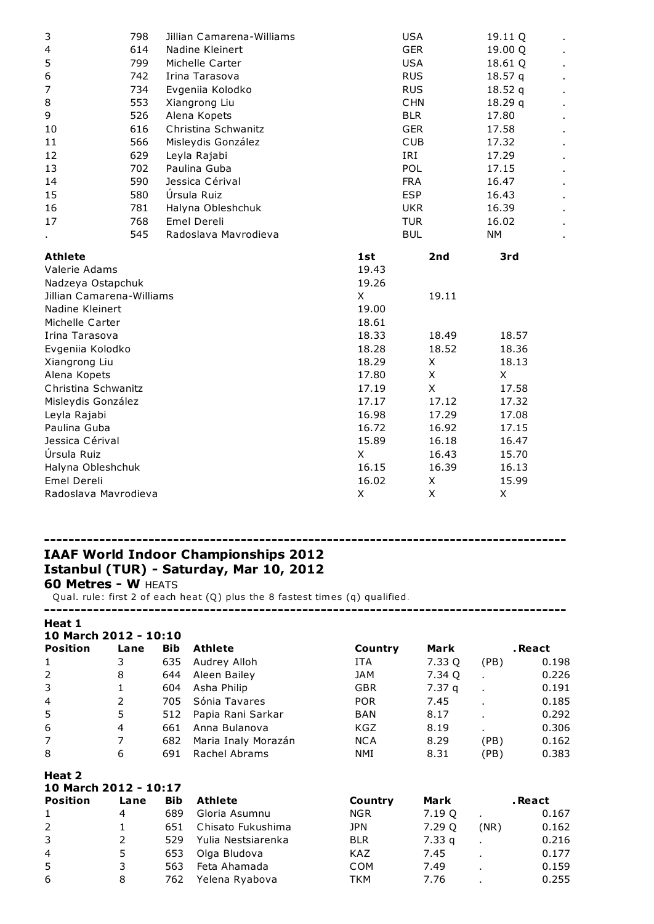| 3                         | 798 | Jillian Camarena-Williams |         | <b>USA</b>     | 19.11 Q   |                |
|---------------------------|-----|---------------------------|---------|----------------|-----------|----------------|
| $\overline{\mathbf{4}}$   | 614 | Nadine Kleinert           |         | <b>GER</b>     | 19.00 Q   |                |
| 5                         | 799 | Michelle Carter           |         | <b>USA</b>     | 18.61 Q   |                |
| 6                         | 742 | Irina Tarasova            |         | <b>RUS</b>     | 18.57 q   | $\blacksquare$ |
| 7                         | 734 | Evgeniia Kolodko          | 18.52 q |                |           |                |
| 8                         | 553 | Xiangrong Liu             |         | <b>CHN</b>     | 18.29q    | ×,             |
| 9                         | 526 | Alena Kopets              |         | <b>BLR</b>     | 17.80     | $\blacksquare$ |
| 10                        | 616 | Christina Schwanitz       |         | <b>GER</b>     | 17.58     | $\blacksquare$ |
| 11                        | 566 | Misleydis González        |         | <b>CUB</b>     | 17.32     | $\blacksquare$ |
| 12                        | 629 | Leyla Rajabi              |         | IRI            | 17.29     | $\blacksquare$ |
| 13                        | 702 | Paulina Guba              |         | POL            | 17.15     | $\blacksquare$ |
| 14                        | 590 | Jessica Cérival           |         | <b>FRA</b>     | 16.47     | ł,             |
| 15                        | 580 | Úrsula Ruiz               |         | <b>ESP</b>     | 16.43     | $\blacksquare$ |
| 16                        | 781 | Halyna Obleshchuk         |         | <b>UKR</b>     | 16.39     | $\blacksquare$ |
| 17                        | 768 | Emel Dereli               | 16.02   | $\blacksquare$ |           |                |
|                           | 545 | Radoslava Mavrodieva      |         | <b>BUL</b>     | <b>NM</b> | ٠              |
| <b>Athlete</b>            |     |                           | 1st     | 2nd            | 3rd       |                |
| Valerie Adams             |     |                           | 19.43   |                |           |                |
| Nadzeya Ostapchuk         |     |                           | 19.26   |                |           |                |
| Jillian Camarena-Williams |     |                           | X       | 19.11          |           |                |
| Nadine Kleinert           |     |                           | 19.00   |                |           |                |
| Michelle Carter           |     |                           | 18.61   |                |           |                |
| Irina Tarasova            |     |                           | 18.33   | 18.49          | 18.57     |                |
| Evgeniia Kolodko          |     |                           | 18.28   | 18.52          | 18.36     |                |
| Xiangrong Liu             |     |                           | 18.29   | X              | 18.13     |                |
| Alena Kopets              |     |                           | 17.80   | X              | X         |                |
| Christina Schwanitz       |     |                           | 17.19   | X              | 17.58     |                |
| Misleydis González        |     |                           | 17.17   | 17.12          | 17.32     |                |
| Leyla Rajabi              |     |                           | 16.98   | 17.29          | 17.08     |                |
| Paulina Guba              |     |                           | 16.72   | 16.92          | 17.15     |                |
| Jessica Cérival           |     |                           | 15.89   | 16.18          | 16.47     |                |
| Úrsula Ruiz               |     |                           | X       | 16.43          | 15.70     |                |
| Halyna Obleshchuk         |     |                           | 16.15   | 16.39          | 16.13     |                |
| Emel Dereli               |     |                           | 16.02   | Χ              | 15.99     |                |
| Radoslava Mavrodieva      |     |                           | X       | X              | Χ         |                |

#### ------------------------------------------------------------------------------------- IAAF World Indoor Championships 2012 Istanbul (TUR) - Saturday, Mar 10, 2012

**60 Metres - W HEATS** 

Qual. rule: first 2 of each heat (Q) plus the 8 fastest times (q) qualified.

-------------------------------------------------------------------------------------

#### Heat 1

| 10 March 2012 - 10:10 |      |            |                     |            |                   |                |         |
|-----------------------|------|------------|---------------------|------------|-------------------|----------------|---------|
| <b>Position</b>       | Lane | <b>Bib</b> | <b>Athlete</b>      | Country    | Mark              |                | . React |
| 1                     | 3    | 635        | Audrey Alloh        | <b>ITA</b> | 7.33 Q            | (PB)           | 0.198   |
| $\overline{2}$        | 8    | 644        | Aleen Bailey        | <b>JAM</b> | 7.34 Q            |                | 0.226   |
| 3                     |      | 604        | Asha Philip         | <b>GBR</b> | 7.37 <sub>q</sub> | $\blacksquare$ | 0.191   |
| $\overline{4}$        | 2    | 705        | Sónia Tavares       | <b>POR</b> | 7.45              | $\blacksquare$ | 0.185   |
| 5                     | 5    | 512        | Papia Rani Sarkar   | <b>BAN</b> | 8.17              | $\blacksquare$ | 0.292   |
| 6                     | 4    | 661        | Anna Bulanova       | <b>KGZ</b> | 8.19              |                | 0.306   |
| 7                     | 7    | 682        | Maria Inaly Morazán | <b>NCA</b> | 8.29              | (PB)           | 0.162   |
| 8                     | 6    | 691        | Rachel Abrams       | NMI        | 8.31              | (PB)           | 0.383   |
| Heat 2                |      |            |                     |            |                   |                |         |
| 10 March 2012 - 10:17 |      |            |                     |            |                   |                |         |
| <b>Position</b>       | Lane | <b>Bib</b> | Athlete             | Country    | Mark              |                | . React |
| 1                     | 4    | 689        | Gloria Asumnu       | <b>NGR</b> | 7.19 Q            |                | 0.167   |
| 2                     |      | 651        | Chisato Fukushima   | JPN        | 7.29 Q            | (NR)           | 0.162   |
| 3                     | 2    | 529        | Yulia Nestsiarenka  | <b>BLR</b> | 7.33q             |                | 0.216   |
| 4                     | 5    | 653        | Olga Bludova        | <b>KAZ</b> | 7.45              |                | 0.177   |
| 5                     | 3    | 563        | Feta Ahamada        | <b>COM</b> | 7.49              |                | 0.159   |
| 6                     | 8    | 762        | Yelena Ryabova      | TKM        | 7.76              |                | 0.255   |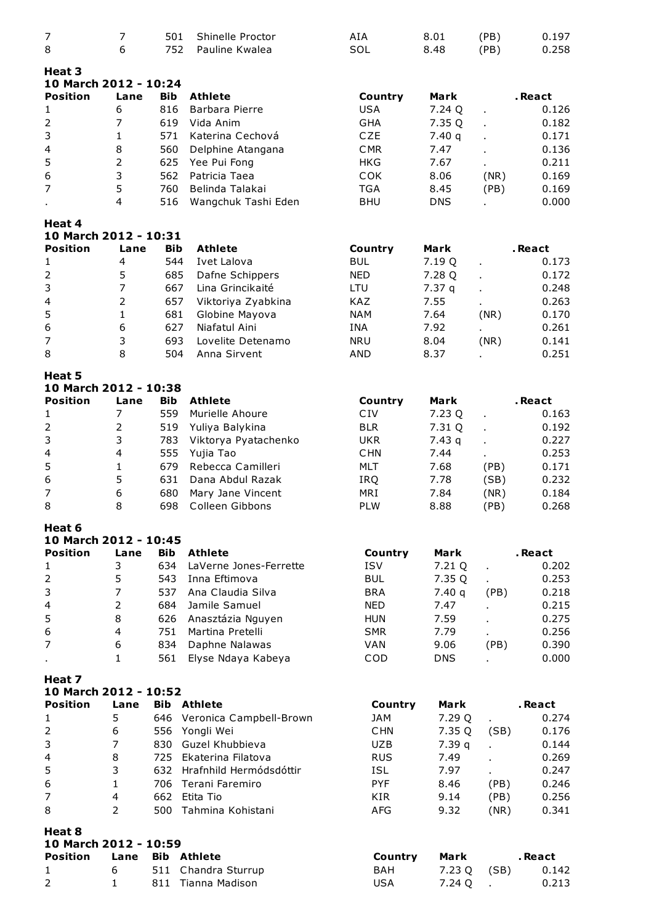| $\overline{7}$                           | $\overline{7}$ | 501        | Shinelle Proctor        | AIA                   | 8.01        | (PB) | 0.197   |
|------------------------------------------|----------------|------------|-------------------------|-----------------------|-------------|------|---------|
| 8                                        | 6              | 752        | Pauline Kwalea          | SOL                   | 8.48        | (PB) | 0.258   |
| Heat 3                                   |                |            |                         |                       |             |      |         |
| 10 March 2012 - 10:24<br><b>Position</b> |                |            |                         |                       |             |      |         |
|                                          | Lane           | <b>Bib</b> | <b>Athlete</b>          | Country               | <b>Mark</b> |      | .React  |
| 1                                        | 6              | 816        | Barbara Pierre          | <b>USA</b>            | 7.24 Q      |      | 0.126   |
| $\overline{2}$                           | 7              | 619        | Vida Anim               | <b>GHA</b>            | 7.35 Q      |      | 0.182   |
| 3                                        | 1              | 571        | Katerina Cechová        | <b>CZE</b>            | 7.40q       |      | 0.171   |
| 4                                        | 8              | 560        | Delphine Atangana       | <b>CMR</b>            | 7.47        |      | 0.136   |
| 5                                        | 2              | 625        | Yee Pui Fong            | <b>HKG</b>            | 7.67        |      | 0.211   |
| 6                                        | 3              | 562        | Patricia Taea           | COK                   | 8.06        | (NR) | 0.169   |
| $\overline{7}$                           | 5              | 760        | Belinda Talakai         | <b>TGA</b>            | 8.45        | (PB) | 0.169   |
|                                          | 4              | 516        | Wangchuk Tashi Eden     | <b>BHU</b>            | <b>DNS</b>  |      | 0.000   |
| Heat 4<br>10 March 2012 - 10:31          |                |            |                         |                       |             |      |         |
| <b>Position</b>                          | Lane           | <b>Bib</b> | <b>Athlete</b>          | Country               | Mark        |      | . React |
| 1                                        | 4              | 544        | Ivet Lalova             | <b>BUL</b>            | 7.19 Q      |      | 0.173   |
| $\overline{2}$                           | 5              | 685        | Dafne Schippers         | <b>NED</b>            | 7.28 Q      | L.   | 0.172   |
| 3                                        | $\overline{7}$ | 667        | Lina Grincikaité        | LTU                   | 7.37q       |      | 0.248   |
| $\overline{\mathcal{A}}$                 | 2              | 657        | Viktoriya Zyabkina      | KAZ                   | 7.55        |      | 0.263   |
| 5                                        | 1              | 681        | Globine Mayova          | <b>NAM</b>            | 7.64        | (NR) | 0.170   |
| 6                                        | 6              | 627        | Niafatul Aini           | INA                   | 7.92        |      | 0.261   |
| $\overline{7}$                           | 3              | 693        | Lovelite Detenamo       | <b>NRU</b>            | 8.04        | (NR) | 0.141   |
| 8                                        | 8              | 504        | Anna Sirvent            | AND                   | 8.37        |      | 0.251   |
|                                          |                |            |                         |                       |             |      |         |
| Heat 5<br>10 March 2012 - 10:38          |                |            |                         |                       |             |      |         |
| <b>Position</b>                          | Lane           | <b>Bib</b> | <b>Athlete</b>          | Country               | <b>Mark</b> |      | .React  |
| 1                                        | 7              | 559        | Murielle Ahoure         | CIV                   | 7.23 Q      | ä,   | 0.163   |
| $\mathbf 2$                              | $\overline{2}$ | 519        | Yuliya Balykina         | <b>BLR</b>            | 7.31 Q      |      | 0.192   |
| 3                                        | 3              | 783        | Viktorya Pyatachenko    | <b>UKR</b>            | 7.43q       |      | 0.227   |
| $\overline{\mathcal{A}}$                 | 4              | 555        | Yujia Tao               | <b>CHN</b>            | 7.44        |      | 0.253   |
| 5                                        | 1              | 679        | Rebecca Camilleri       | MLT                   | 7.68        | (PB) | 0.171   |
| 6                                        | 5              | 631        | Dana Abdul Razak        | IRQ                   | 7.78        | (SB) | 0.232   |
| $\overline{7}$                           | $\,$ 6 $\,$    | 680        | Mary Jane Vincent       | MRI                   | 7.84        | (NR) | 0.184   |
| 8                                        | 8              | 698        | Colleen Gibbons         | <b>PLW</b>            | 8.88        | (PB) | 0.268   |
| Heat 6                                   |                |            |                         |                       |             |      |         |
| 10 March 2012 - 10:45                    |                |            |                         |                       |             |      |         |
| <b>Position</b>                          | Lane           | <b>Bib</b> | <b>Athlete</b>          | Country               | Mark        |      | . React |
| $\mathbf{1}$                             | 3              | 634        | LaVerne Jones-Ferrette  | <b>ISV</b>            | 7.21 Q      | ×,   | 0.202   |
| $\overline{2}$                           | 5              | 543        | Inna Eftimova           | <b>BUL</b>            | 7.35 Q      |      | 0.253   |
| 3                                        | $\overline{7}$ | 537        | Ana Claudia Silva       | <b>BRA</b>            | 7.40q       | (PB) | 0.218   |
| $\overline{4}$                           | $\mathsf{2}\,$ | 684        | Jamile Samuel           | <b>NED</b>            | 7.47        |      | 0.215   |
| 5                                        | 8              | 626        | Anasztázia Nguyen       | <b>HUN</b>            | 7.59        |      | 0.275   |
| 6                                        | $\overline{4}$ | 751        | Martina Pretelli        | <b>SMR</b>            | 7.79        |      | 0.256   |
| $\overline{7}$                           | 6              | 834        | Daphne Nalawas          | VAN                   | 9.06        | (PB) | 0.390   |
|                                          | $\mathbf{1}$   | 561        | Elyse Ndaya Kabeya      | COD                   | <b>DNS</b>  |      | 0.000   |
|                                          |                |            |                         |                       |             |      |         |
| Heat 7<br>10 March 2012 - 10:52          |                |            |                         |                       |             |      |         |
| <b>Position</b>                          | Lane           | <b>Bib</b> | Athlete                 |                       | Mark        |      | . React |
| $\mathbf{1}$                             | 5              | 646        | Veronica Campbell-Brown | Country<br><b>JAM</b> | 7.29 Q      |      | 0.274   |
|                                          |                |            |                         |                       |             | ä,   |         |
| $\overline{2}$                           | 6              | 556        | Yongli Wei              | <b>CHN</b>            | 7.35 Q      | (SB) | 0.176   |
| 3                                        | $\overline{7}$ | 830        | Guzel Khubbieva         | <b>UZB</b>            | 7.39q       | ä,   | 0.144   |
| $\overline{\mathbf{4}}$                  | 8              | 725        | Ekaterina Filatova      | <b>RUS</b>            | 7.49        |      | 0.269   |
| 5                                        | 3              | 632        | Hrafnhild Hermódsdóttir | <b>ISL</b>            | 7.97        |      | 0.247   |
| 6                                        | $\mathbf{1}$   | 706        | Terani Faremiro         | <b>PYF</b>            | 8.46        | (PB) | 0.246   |
| $\overline{7}$                           | $\overline{4}$ | 662        | Etita Tio               | KIR                   | 9.14        | (PB) | 0.256   |
| 8                                        | $\overline{2}$ | 500        | Tahmina Kohistani       | AFG                   | 9.32        | (NR) | 0.341   |
| Heat 8                                   |                |            |                         |                       |             |      |         |
| 10 March 2012 - 10:59                    |                |            |                         |                       |             |      |         |
| <b>Position</b>                          | Lane           |            | <b>Bib Athlete</b>      | Country               | Mark        |      | . React |
| $\mathbf{1}$                             | 6              | 511        | Chandra Sturrup         | BAH                   | 7.23 Q      | (SB) | 0.142   |
| $\overline{2}$                           | $\mathbf{1}$   | 811        | Tianna Madison          | <b>USA</b>            | 7.24 Q      |      | 0.213   |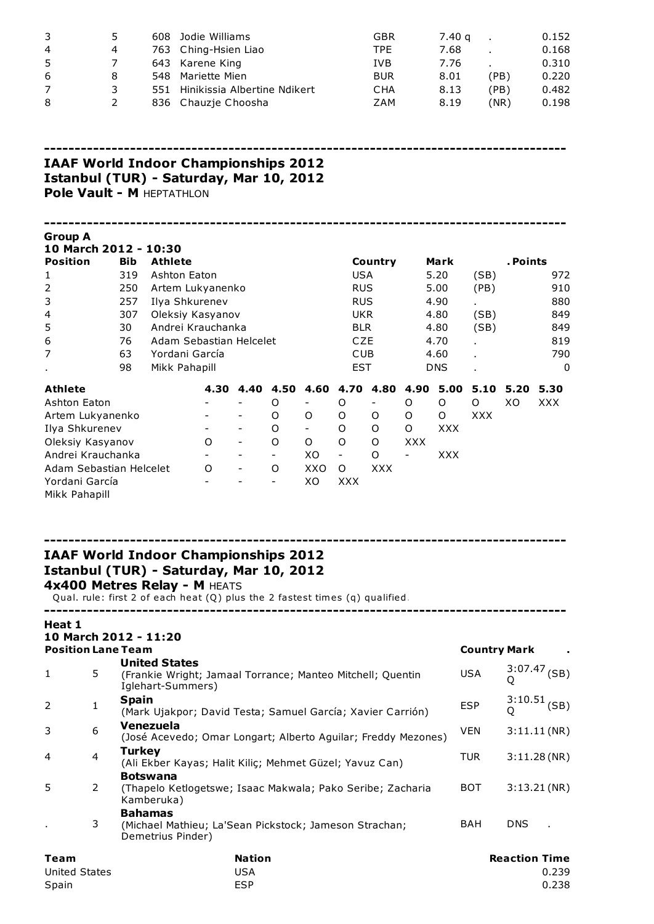| 3  | ь. | 608  | Jodie Williams                   | GBR        | 7.40 g |      | 0.152 |
|----|----|------|----------------------------------|------------|--------|------|-------|
| 4  | 4  |      | 763 Ching-Hsien Liao             | TPE        | 7.68   |      | 0.168 |
| -5 |    |      | 643 Karene King                  | <b>IVB</b> | 7.76   |      | 0.310 |
| 6  | 8  | 548. | Mariette Mien                    | <b>BUR</b> | 8.01   | (PB) | 0.220 |
| 7  |    |      | 551 Hinikissia Albertine Ndikert | <b>CHA</b> | 8.13   | (PB) | 0.482 |
| 8  |    |      | 836 Chauzie Choosha              | ZAM        | 8.19   | (NR) | 0.198 |

-------------------------------------------------------------------------------------

# IAAF World Indoor Championships 2012 Istanbul (TUR) - Saturda\, Mar 10, 2012 Pole Vault - M HEPTATHLON

| Group A<br>10 March 2012 - 10:30                   |                |               |                                                                                                                                                         |         |  |                                    |                          |                          |                          |               |             |                     |            |                           |
|----------------------------------------------------|----------------|---------------|---------------------------------------------------------------------------------------------------------------------------------------------------------|---------|--|------------------------------------|--------------------------|--------------------------|--------------------------|---------------|-------------|---------------------|------------|---------------------------|
| <b>Position</b>                                    |                | <b>Bib</b>    | <b>Athlete</b>                                                                                                                                          |         |  |                                    |                          |                          | Country                  |               | Mark        |                     | . Points   |                           |
| 1                                                  |                | 319           | Ashton Eaton                                                                                                                                            |         |  |                                    |                          | <b>USA</b>               |                          |               | 5.20        | (SB)                |            | 972                       |
| 2                                                  |                | 250           | Artem Lukyanenko                                                                                                                                        |         |  |                                    |                          | <b>RUS</b>               |                          |               | 5.00        | (PB)                |            | 910                       |
| 3                                                  |                | 257           | Ilya Shkurenev                                                                                                                                          |         |  |                                    |                          | <b>RUS</b>               |                          |               | 4.90        |                     |            | 880                       |
| 4                                                  |                | 307           | Oleksiy Kasyanov                                                                                                                                        |         |  |                                    |                          | <b>UKR</b>               |                          |               | 4.80        | (SB)                |            | 849                       |
| 5                                                  |                | 30            | Andrei Krauchanka                                                                                                                                       |         |  |                                    |                          | <b>BLR</b>               |                          |               | 4.80        | (SB)                |            | 849                       |
| 6                                                  |                | 76            | Adam Sebastian Helcelet                                                                                                                                 |         |  |                                    |                          | CZE                      |                          |               | 4.70        |                     |            | 819                       |
| 7                                                  |                | 63            | Yordani García                                                                                                                                          |         |  |                                    |                          | <b>CUB</b>               |                          |               | 4.60        |                     |            | 790                       |
|                                                    |                | 98            | Mikk Pahapill                                                                                                                                           |         |  |                                    |                          | <b>EST</b>               |                          |               | <b>DNS</b>  |                     |            | 0                         |
|                                                    |                |               |                                                                                                                                                         |         |  |                                    |                          |                          |                          |               |             |                     |            |                           |
| <b>Athlete</b>                                     |                |               |                                                                                                                                                         |         |  | 4.30 4.40 4.50 4.60 4.70 4.80 4.90 |                          |                          |                          |               | 5.00        | 5.10                | 5.20       | 5.30                      |
| Ashton Eaton                                       |                |               |                                                                                                                                                         |         |  | O                                  | $\overline{\phantom{a}}$ | O                        | $\overline{\phantom{a}}$ | O             | O           | O                   | XO         | <b>XXX</b>                |
| Artem Lukyanenko                                   |                |               |                                                                                                                                                         |         |  | O                                  | 0                        | 0                        | O                        | 0             | 0           | <b>XXX</b>          |            |                           |
| Ilya Shkurenev                                     |                |               |                                                                                                                                                         |         |  | O                                  | $\overline{\phantom{a}}$ | 0                        | O                        | O             | <b>XXX</b>  |                     |            |                           |
| Oleksiy Kasyanov                                   |                |               |                                                                                                                                                         | O       |  | O                                  | $\circ$                  | O                        | O                        | <b>XXX</b>    |             |                     |            |                           |
| Andrei Krauchanka                                  |                |               |                                                                                                                                                         |         |  | $\overline{\phantom{a}}$           | XO                       | $\overline{\phantom{a}}$ | O                        | $\frac{1}{2}$ | <b>XXX</b>  |                     |            |                           |
| Adam Sebastian Helcelet                            |                |               |                                                                                                                                                         | $\circ$ |  | O                                  | XXO                      | O                        | <b>XXX</b>               |               |             |                     |            |                           |
| Yordani García<br>Mikk Pahapill                    |                |               |                                                                                                                                                         |         |  |                                    | XO                       | <b>XXX</b>               |                          |               |             |                     |            |                           |
|                                                    |                |               |                                                                                                                                                         |         |  |                                    |                          |                          |                          |               |             |                     |            |                           |
| Heat 1                                             |                |               | Istanbul (TUR) - Saturday, Mar 10, 2012<br>4x400 Metres Relay - M HEATS<br>Qual. rule: first 2 of each heat (Q) plus the 2 fastest times (q) qualified. |         |  |                                    |                          |                          |                          |               |             |                     |            |                           |
| 10 March 2012 - 11:20<br><b>Position Lane Team</b> |                |               |                                                                                                                                                         |         |  |                                    |                          |                          |                          |               |             | <b>Country Mark</b> |            |                           |
|                                                    |                |               | <b>United States</b>                                                                                                                                    |         |  |                                    |                          |                          |                          |               |             |                     |            |                           |
| $\mathbf{1}$                                       | 5              |               | (Frankie Wright; Jamaal Torrance; Manteo Mitchell; Quentin<br>Iglehart-Summers)                                                                         |         |  |                                    |                          |                          |                          |               |             | <b>USA</b>          | O          | $3:07.47$ (SB)            |
| 2                                                  | 1              | <b>Spain</b>  |                                                                                                                                                         |         |  |                                    |                          |                          |                          |               |             | <b>ESP</b>          |            | $3:10.51$ <sub>(SB)</sub> |
| 3                                                  | 6              |               | (Mark Ujakpor; David Testa; Samuel García; Xavier Carrión)<br>Venezuela<br>(José Acevedo; Omar Longart; Alberto Aguilar; Freddy Mezones)                |         |  |                                    |                          |                          | <b>VEN</b>               |               | 3:11.11(NR) |                     |            |                           |
| 4                                                  | $\overline{4}$ | <b>Turkey</b> | (Ali Ekber Kayas; Halit Kiliç; Mehmet Güzel; Yavuz Can)                                                                                                 |         |  |                                    |                          |                          |                          |               |             | <b>TUR</b>          |            | 3:11.28(NR)               |
| 5                                                  | 2              |               | <b>Botswana</b><br>(Thapelo Ketlogetswe; Isaac Makwala; Pako Seribe; Zacharia<br>Kamberuka)                                                             |         |  |                                    |                          |                          |                          |               |             | BOT                 |            | 3:13.21(NR)               |
|                                                    | 3              |               | <b>Bahamas</b><br>(Michael Mathieu; La'Sean Pickstock; Jameson Strachan;<br>Demetrius Pinder)                                                           |         |  |                                    |                          |                          |                          |               |             | BAH                 | <b>DNS</b> |                           |

| Team          | <b>Nation</b> | <b>Reaction Time</b> |
|---------------|---------------|----------------------|
| United States | USA           | 0.239                |
| Spain         | <b>ESP</b>    | 0.238                |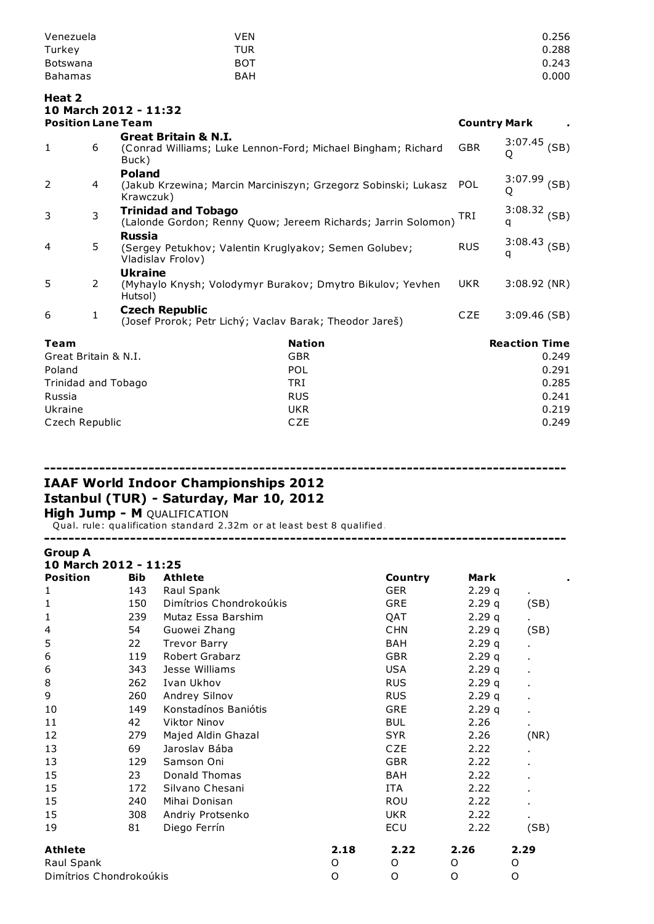| Venezuela       | VEN        | 0.256 |
|-----------------|------------|-------|
| Turkey          | TUR        | 0.288 |
| <b>Botswana</b> | BOT        | 0.243 |
| <b>Bahamas</b>  | <b>BAH</b> | 0.000 |

# Heat 2 10 March 2012 - 11:32

| <b>Position Lane Team</b> |                |                                                                                                          |               | <b>Country Mark</b> |                      |       |
|---------------------------|----------------|----------------------------------------------------------------------------------------------------------|---------------|---------------------|----------------------|-------|
| 1                         | 6              | <b>Great Britain &amp; N.I.</b><br>(Conrad Williams; Luke Lennon-Ford; Michael Bingham; Richard<br>Buck) |               | <b>GBR</b>          | $3:07.45$ (SB)<br>Q  |       |
| 2                         | 4              | <b>Poland</b><br>(Jakub Krzewina; Marcin Marciniszyn; Grzegorz Sobinski; Lukasz<br>Krawczuk)             |               | <b>POL</b>          | 3:07.99<br>Q         | (SB)  |
| 3                         | $\overline{3}$ | <b>Trinidad and Tobago</b><br>(Lalonde Gordon; Renny Quow; Jereem Richards; Jarrin Solomon)              |               | TRI                 | $3:08.32$ (SB)<br>q  |       |
| 4                         | 5              | Russia<br>(Sergey Petukhov; Valentin Kruglyakov; Semen Golubev;<br>Vladislav Frolov)                     |               | <b>RUS</b>          | $3:08.43$ (SB)<br>q  |       |
| 5                         | $\overline{2}$ | <b>Ukraine</b><br>(Myhaylo Knysh; Volodymyr Burakov; Dmytro Bikulov; Yevhen<br>Hutsol)                   |               | UKR.                | $3:08.92$ (NR)       |       |
| 6                         | $\mathbf{1}$   | <b>Czech Republic</b><br>(Josef Prorok; Petr Lichý; Vaclav Barak; Theodor Jareš)                         |               | <b>CZE</b>          | 3:09.46(SB)          |       |
| Team                      |                |                                                                                                          | <b>Nation</b> |                     | <b>Reaction Time</b> |       |
| Great Britain & N.I.      |                |                                                                                                          | <b>GBR</b>    |                     |                      | 0.249 |
| Poland                    |                |                                                                                                          | <b>POL</b>    |                     |                      | 0.291 |
| Trinidad and Tobago       |                |                                                                                                          | TRI           |                     |                      | 0.285 |
| Russia                    |                |                                                                                                          | <b>RUS</b>    |                     |                      | 0.241 |
| Ukraine                   |                |                                                                                                          | <b>UKR</b>    |                     |                      | 0.219 |

Czech Republic **CZE** 0.249

-------------------------------------------------------------------------------------

-------------------------------------------------------------------------------------

# IAAF World Indoor Championships 2012 Istanbul (TUR) - Saturday, Mar 10, 2012 **High Jump - M QUALIFICATION**

Qual. rule: qualification standard 2.32m or at least best 8 qualified.

| <b>Group A</b>          |            |                         |      |            |       |                |
|-------------------------|------------|-------------------------|------|------------|-------|----------------|
| 10 March 2012 - 11:25   |            |                         |      |            |       |                |
| <b>Position</b>         | <b>Bib</b> | <b>Athlete</b>          |      | Country    | Mark  |                |
| 1                       | 143        | Raul Spank              |      | <b>GER</b> | 2.29q |                |
| 1                       | 150        | Dimítrios Chondrokoúkis |      | <b>GRE</b> | 2.29q | (SB)           |
| 1                       | 239        | Mutaz Essa Barshim      |      | QAT        | 2.29q |                |
| 4                       | 54         | Guowei Zhang            |      | <b>CHN</b> | 2.29q | (SB)           |
| 5                       | 22         | <b>Trevor Barry</b>     |      | BAH        | 2.29q |                |
| 6                       | 119        | Robert Grabarz          |      | <b>GBR</b> | 2.29q |                |
| 6                       | 343        | Jesse Williams          |      | <b>USA</b> | 2.29q |                |
| 8                       | 262        | Ivan Ukhov              |      | <b>RUS</b> | 2.29q |                |
| 9                       | 260        | Andrey Silnov           |      | <b>RUS</b> | 2.29q |                |
| 10                      | 149        | Konstadínos Baniótis    |      | <b>GRE</b> | 2.29q | $\blacksquare$ |
| 11                      | 42         | <b>Viktor Ninov</b>     |      | <b>BUL</b> | 2.26  | $\blacksquare$ |
| 12                      | 279        | Majed Aldin Ghazal      |      | <b>SYR</b> | 2.26  | (NR)           |
| 13                      | 69         | Jaroslav Bába           |      | CZE        | 2.22  |                |
| 13                      | 129        | Samson Oni              |      | <b>GBR</b> | 2.22  |                |
| 15                      | 23         | Donald Thomas           |      | <b>BAH</b> | 2.22  |                |
| 15                      | 172        | Silvano Chesani         |      | <b>ITA</b> | 2.22  |                |
| 15                      | 240        | Mihai Donisan           |      | ROU        | 2.22  |                |
| 15                      | 308        | Andriy Protsenko        |      | <b>UKR</b> | 2.22  |                |
| 19                      | 81         | Diego Ferrín            |      | ECU        | 2.22  | (SB)           |
| <b>Athlete</b>          |            |                         | 2.18 | 2.22       | 2.26  | 2.29           |
| Raul Spank              |            |                         | O    | O          | O     | O              |
| Dimítrios Chondrokoúkis |            |                         | O    | O          | O     | O              |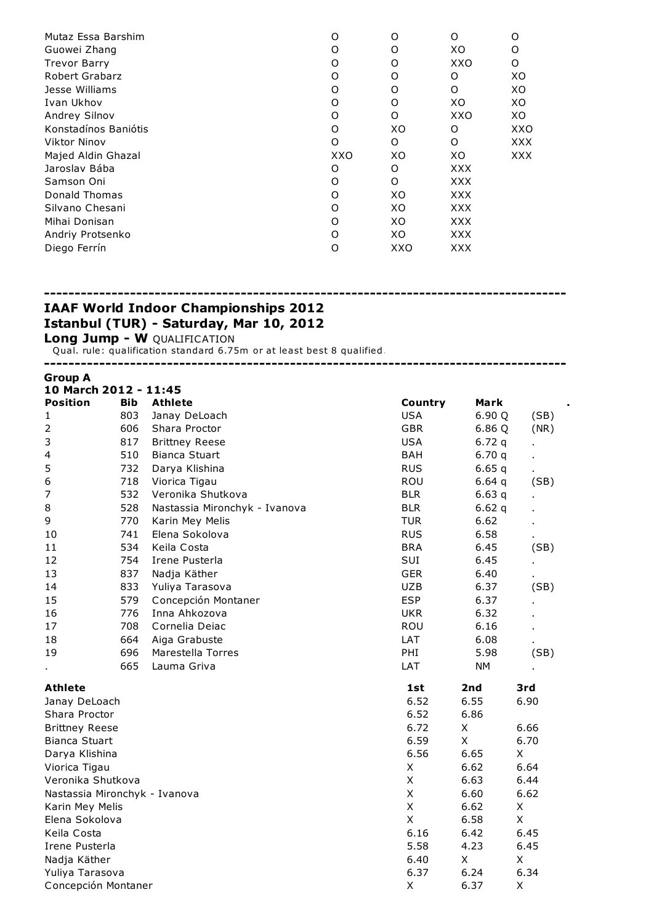| O   | O   | O          | Ω    |
|-----|-----|------------|------|
| O   | Ω   | XO         | Ω    |
| O   | Ω   | XXO        | Ω    |
| O   | O   | O          | XO   |
| O   | Ω   | O          | XO   |
| O   | Ω   | XO         | XO   |
| O   | Ω   | XXO        | XO   |
| O   | XO  | O          | XXO  |
| O   | O   | O          | XXX. |
| XXO | XO  | XO         | XXX  |
| O   | O   | XXX        |      |
| O   | Ω   | <b>XXX</b> |      |
| O   | XO  | <b>XXX</b> |      |
| O   | XO  | <b>XXX</b> |      |
| O   | XO  | <b>XXX</b> |      |
| O   | XO  | <b>XXX</b> |      |
| O   | xxo | <b>XXX</b> |      |
|     |     |            |      |

# -------------------------------------------------------------------------------------

# IAAF World Indoor Championships 2012 Istanbul (TUR) - Saturday, Mar 10, 2012

Long Jump - W QUALIFICATION

Qual. rule: qualification standard 6.75m or at least best 8 qualified.

#### -------------------------------------------------------------------------------------

#### Group A

| 10 March 2012 - 11:45         |            |                               |             |           |                    |
|-------------------------------|------------|-------------------------------|-------------|-----------|--------------------|
| <b>Position</b>               | <b>Bib</b> | <b>Athlete</b>                | Country     | Mark      |                    |
| 1                             | 803        | Janay DeLoach                 | <b>USA</b>  | 6.90 Q    | (SB)               |
| $\mathbf 2$                   | 606        | Shara Proctor                 | <b>GBR</b>  | 6.86 Q    | (NR)               |
| 3                             | 817        | <b>Brittney Reese</b>         | <b>USA</b>  | 6.72q     | ä,                 |
| 4                             | 510        | <b>Bianca Stuart</b>          | <b>BAH</b>  | 6.70q     |                    |
| 5                             | 732        | Darya Klishina                | <b>RUS</b>  | 6.65q     |                    |
| 6                             | 718        | Viorica Tigau                 | ROU         | 6.64q     | (SB)               |
| 7                             | 532        | Veronika Shutkova             | <b>BLR</b>  | 6.63q     | ä,                 |
| 8                             | 528        | Nastassia Mironchyk - Ivanova | <b>BLR</b>  | 6.62 $q$  |                    |
| 9                             | 770        | Karin Mey Melis               | <b>TUR</b>  | 6.62      |                    |
| 10                            | 741        | Elena Sokolova                | <b>RUS</b>  | 6.58      |                    |
| 11                            | 534        | Keila Costa                   | <b>BRA</b>  | 6.45      | (SB)               |
| 12                            | 754        | Irene Pusterla                | SUI         | 6.45      | ä,                 |
| 13                            | 837        | Nadja Käther                  | <b>GER</b>  | 6.40      |                    |
| 14                            | 833        | Yuliya Tarasova               | <b>UZB</b>  | 6.37      | (SB)               |
| 15                            | 579        | Concepción Montaner           | <b>ESP</b>  | 6.37      | $\blacksquare$     |
| 16                            | 776        | Inna Ahkozova                 | <b>UKR</b>  | 6.32      |                    |
| 17                            | 708        | Cornelia Deiac                | <b>ROU</b>  | 6.16      |                    |
| 18                            | 664        | Aiga Grabuste                 | LAT         | 6.08      | $\blacksquare$     |
| 19                            | 696        | Marestella Torres             | PHI         | 5.98      | (SB)               |
|                               | 665        | Lauma Griva                   | LAT         | <b>NM</b> |                    |
| <b>Athlete</b>                |            |                               | 1st         | 2nd       | 3rd                |
| Janay DeLoach                 |            |                               | 6.52        | 6.55      | 6.90               |
| Shara Proctor                 |            |                               | 6.52        | 6.86      |                    |
| <b>Brittney Reese</b>         |            |                               | 6.72        | X         | 6.66               |
| <b>Bianca Stuart</b>          |            |                               | 6.59        | X         | 6.70               |
| Darya Klishina                |            |                               | 6.56        | 6.65      | X                  |
| Viorica Tigau                 |            |                               | $\mathsf X$ | 6.62      | 6.64               |
| Veronika Shutkova             |            |                               | $\mathsf X$ | 6.63      | 6.44               |
| Nastassia Mironchyk - Ivanova |            |                               | $\mathsf X$ | 6.60      | 6.62               |
| Karin Mey Melis               |            |                               | $\mathsf X$ | 6.62      | X                  |
| Elena Sokolova                |            |                               | $\mathsf X$ | 6.58      | $\pmb{\mathsf{X}}$ |
| Keila Costa                   |            |                               | 6.16        | 6.42      | 6.45               |
| Irene Pusterla                |            |                               | 5.58        | 4.23      | 6.45               |
| Nadja Käther                  |            |                               | 6.40        | X         | X                  |
| Yuliya Tarasova               |            |                               | 6.37        | 6.24      | 6.34               |
| Concepción Montaner           |            |                               | X           | 6.37      | Χ                  |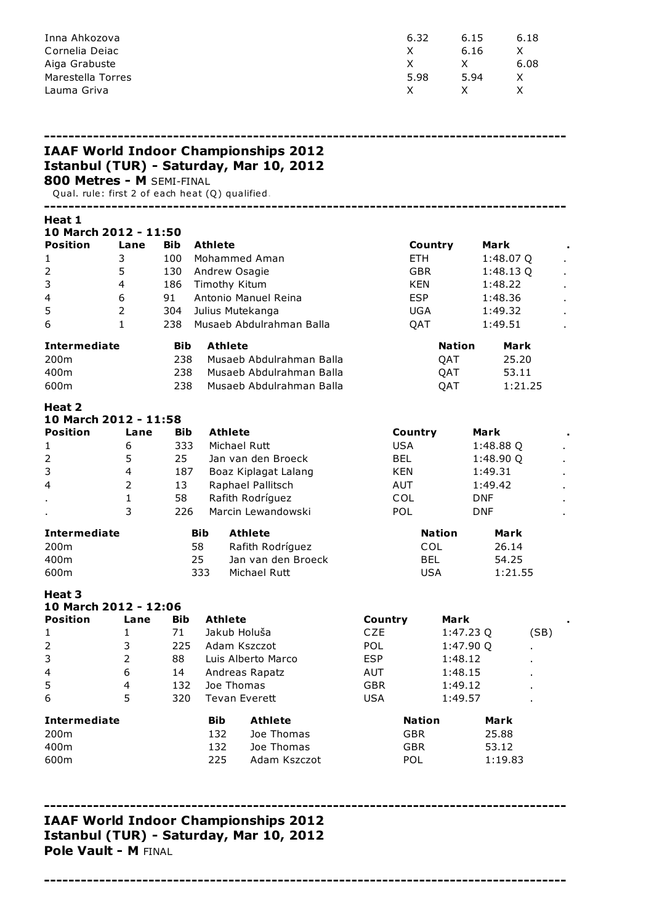| Inna Ahkozova     | 6.32 | 6.15 | 6.18 |
|-------------------|------|------|------|
| Cornelia Deiac    |      | 6.16 |      |
| Aiga Grabuste     |      |      | 6.08 |
| Marestella Torres | 5.98 | 5.94 |      |
| Lauma Griva       | X.   |      |      |

|                                                                              |                         |            |                          |                | <b>IAAF World Indoor Championships 2012</b> |            |                                           |               |            |                        |      |  |
|------------------------------------------------------------------------------|-------------------------|------------|--------------------------|----------------|---------------------------------------------|------------|-------------------------------------------|---------------|------------|------------------------|------|--|
| 800 Metres - M SEMI-FINAL<br>Qual. rule: first 2 of each heat (Q) qualified. |                         |            |                          |                | Istanbul (TUR) - Saturday, Mar 10, 2012     |            |                                           |               |            |                        |      |  |
| Heat 1<br>10 March 2012 - 11:50                                              |                         |            |                          |                |                                             |            |                                           |               |            |                        |      |  |
| <b>Position</b>                                                              | Lane                    | <b>Bib</b> | <b>Athlete</b>           |                |                                             |            | Country                                   |               | Mark       |                        |      |  |
| 1                                                                            | 3                       | 100        |                          |                | Mohammed Aman                               |            | <b>ETH</b>                                |               |            | 1:48.07 Q              |      |  |
| 2                                                                            | 5                       | 130        | Andrew Osagie            |                |                                             |            | <b>GBR</b>                                |               |            | 1:48.13Q               |      |  |
| 3                                                                            | $\overline{4}$          | 186        | Timothy Kitum            |                |                                             |            | <b>KEN</b>                                |               |            | 1:48.22                |      |  |
| 4                                                                            | 6                       | 91         |                          |                | Antonio Manuel Reina                        |            | <b>ESP</b>                                |               |            | 1:48.36                |      |  |
| 5                                                                            | $\overline{2}$          | 304        |                          |                | Julius Mutekanga                            |            | <b>UGA</b>                                |               |            | 1:49.32                |      |  |
| 6                                                                            | $\mathbf{1}$            | 238        |                          |                | Musaeb Abdulrahman Balla                    |            | QAT                                       |               |            | 1:49.51                |      |  |
| <b>Intermediate</b>                                                          |                         | Bib.       |                          | <b>Athlete</b> |                                             |            |                                           | Nation        |            | Mark                   |      |  |
| 200m                                                                         |                         | 238        |                          |                | Musaeb Abdulrahman Balla                    |            |                                           | QAT           |            | 25.20                  |      |  |
| 400m                                                                         |                         | 238        |                          |                | Musaeb Abdulrahman Balla                    |            |                                           | QAT           |            | 53.11                  |      |  |
| 600m                                                                         |                         | 238        |                          |                | Musaeb Abdulrahman Balla                    |            |                                           | QAT           |            | 1:21.25                |      |  |
| Heat 2<br>10 March 2012 - 11:58                                              |                         |            |                          |                |                                             |            |                                           |               |            |                        |      |  |
| <b>Position</b>                                                              | Lane                    | <b>Bib</b> |                          | <b>Athlete</b> |                                             |            | Country                                   |               | Mark       |                        |      |  |
| 1                                                                            | 6                       | 333        |                          |                | Michael Rutt                                |            | <b>USA</b>                                |               |            | 1:48.88 Q              |      |  |
| 2                                                                            | 5                       | 25         |                          |                | Jan van den Broeck                          |            | <b>BEL</b>                                |               |            | 1:48.90 Q              |      |  |
| 3                                                                            | 4                       | 187        |                          |                | Boaz Kiplagat Lalang                        |            | <b>KEN</b>                                |               | 1:49.31    |                        |      |  |
| 4                                                                            | $\overline{2}$          | 13         |                          |                | Raphael Pallitsch                           |            | AUT                                       |               | 1:49.42    |                        |      |  |
|                                                                              | 1                       | 58         |                          |                | Rafith Rodríguez                            |            | COL                                       |               | <b>DNF</b> |                        |      |  |
|                                                                              | 3                       | 226        |                          |                | Marcin Lewandowski                          |            | POL                                       |               | <b>DNF</b> |                        |      |  |
| <b>Intermediate</b>                                                          |                         |            | <b>Bib</b>               |                | <b>Athlete</b>                              |            |                                           | <b>Nation</b> |            | Mark                   |      |  |
| 200m                                                                         |                         |            | 58                       |                | Rafith Rodríguez                            |            | <b>COL</b>                                |               |            | 26.14                  |      |  |
| 400m                                                                         |                         |            | 25                       |                | Jan van den Broeck                          |            | <b>BEL</b>                                |               |            | 54.25                  |      |  |
| 600m                                                                         |                         |            | 333                      |                | Michael Rutt                                |            | <b>USA</b>                                |               |            | 1:21.55                |      |  |
| Heat 3<br>10 March 2012 - 12:06                                              |                         |            |                          |                |                                             |            |                                           |               |            |                        |      |  |
| <b>Position</b>                                                              | Lane                    | Bib        |                          | <b>Athlete</b> |                                             | Country    |                                           | Mark          |            |                        |      |  |
| 1                                                                            | 1                       | 71         |                          |                | Jakub Holuša                                | CZE        |                                           | 1:47.23 Q     |            |                        | (SB) |  |
| $\mathbf 2$                                                                  | 3                       | 225        |                          |                | Adam Kszczot                                | POL        |                                           | 1:47.90 Q     |            |                        |      |  |
| 3                                                                            | $\overline{2}$          | 88         |                          |                | Luis Alberto Marco                          | <b>ESP</b> |                                           | 1:48.12       |            |                        |      |  |
| 4                                                                            | 6                       | 14         |                          |                | Andreas Rapatz                              | AUT        |                                           | 1:48.15       |            |                        |      |  |
| 5                                                                            | $\overline{\mathbf{4}}$ | 132        |                          | Joe Thomas     |                                             | <b>GBR</b> |                                           | 1:49.12       |            |                        |      |  |
| 6                                                                            | 5                       | 320        |                          |                | <b>Tevan Everett</b>                        | <b>USA</b> |                                           | 1:49.57       |            |                        |      |  |
| <b>Intermediate</b><br>200m<br>400m                                          |                         |            | <b>Bib</b><br>132<br>132 |                | <b>Athlete</b><br>Joe Thomas<br>Joe Thomas  |            | <b>Nation</b><br><b>GBR</b><br><b>GBR</b> |               |            | Mark<br>25.88<br>53.12 |      |  |
| 600m                                                                         |                         |            | 225                      |                | Adam Kszczot                                |            | POL                                       |               |            | 1:19.83                |      |  |
|                                                                              |                         |            |                          |                |                                             |            |                                           |               |            |                        |      |  |

# IAAF World Indoor Championships 2012

# Istanbul (TUR) - Saturda\, Mar 10, 2012 Pole Vault - M FINAL

-------------------------------------------------------------------------------------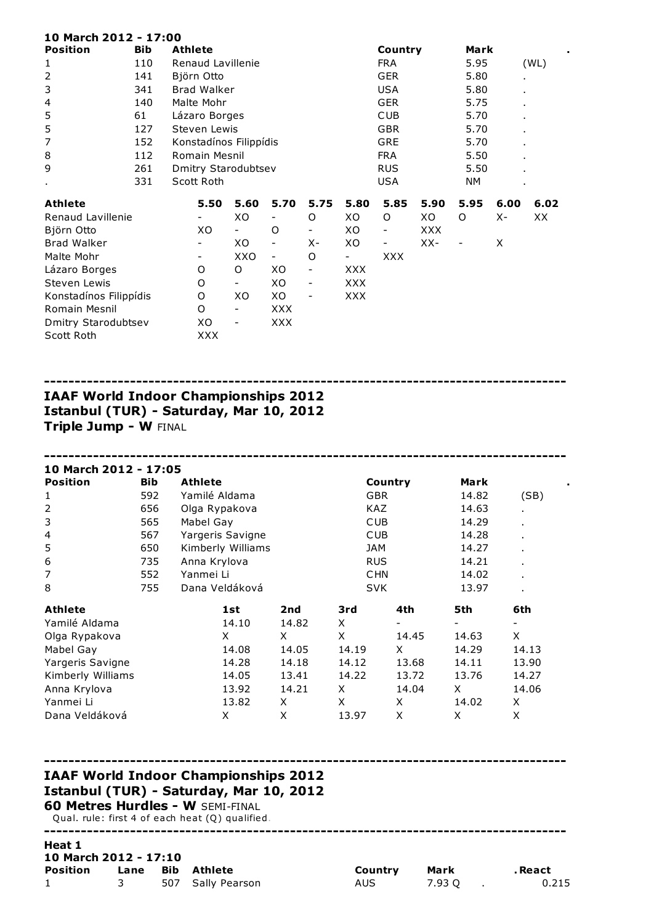| 10 March 2012 - 17:00  |            |                        |      |            |      |            |                          |      |                          |       |                |  |
|------------------------|------------|------------------------|------|------------|------|------------|--------------------------|------|--------------------------|-------|----------------|--|
| <b>Position</b>        | <b>Bib</b> | <b>Athlete</b>         |      |            |      |            | Country                  |      | Mark                     |       |                |  |
| 1                      | 110        | Renaud Lavillenie      |      |            |      |            | <b>FRA</b>               |      | 5.95                     |       | (WL)           |  |
| $\overline{2}$         | 141        | Björn Otto             |      |            |      |            | <b>GER</b>               |      | 5.80                     |       | $\blacksquare$ |  |
| 3                      | 341        | <b>Brad Walker</b>     |      |            |      |            | <b>USA</b>               |      | 5.80                     |       | ٠              |  |
| 4                      | 140        | Malte Mohr             |      |            |      |            | <b>GER</b>               |      | 5.75                     |       | $\blacksquare$ |  |
| 5                      | 61         | Lázaro Borges          |      |            |      |            | <b>CUB</b>               |      | 5.70                     |       | $\blacksquare$ |  |
| 5                      | 127        | Steven Lewis           |      |            |      |            | <b>GBR</b>               |      | 5.70                     |       | ×.             |  |
| $\overline{7}$         | 152        | Konstadínos Filippídis |      |            |      |            | <b>GRE</b>               |      | 5.70                     |       | $\blacksquare$ |  |
| 8                      | 112        | Romain Mesnil          |      |            |      |            | <b>FRA</b>               |      | 5.50                     |       | $\blacksquare$ |  |
| 9                      | 261        | Dmitry Starodubtsev    |      |            |      |            | <b>RUS</b>               |      | 5.50                     |       | $\blacksquare$ |  |
| $\blacksquare$         | 331        | Scott Roth             |      |            |      |            | <b>USA</b>               |      | NΜ                       |       |                |  |
| <b>Athlete</b>         |            | 5.50                   | 5.60 | 5.70       | 5.75 | 5.80       | 5.85                     | 5.90 | 5.95                     | 6.00  | 6.02           |  |
| Renaud Lavillenie      |            |                        | XO   |            | O    | XO         | O                        | XO   | O                        | $X -$ | ХX             |  |
| Björn Otto             |            | XO                     |      | O          |      | XO         | $\overline{\phantom{a}}$ | XXX  |                          |       |                |  |
| <b>Brad Walker</b>     |            | -                      | XO   |            | х-   | XO         | -                        | XX-  | $\overline{\phantom{a}}$ | X     |                |  |
| Malte Mohr             |            | -                      | XXO  | -          | O    | -          | <b>XXX</b>               |      |                          |       |                |  |
| Lázaro Borges          |            | O                      | O    | XO         | -    | <b>XXX</b> |                          |      |                          |       |                |  |
| Steven Lewis           |            | O                      | -    | ХO         | -    | XXX        |                          |      |                          |       |                |  |
| Konstadínos Filippídis |            | O                      | XO   | ХO         |      | XXX        |                          |      |                          |       |                |  |
| Romain Mesnil          |            | O                      | -    | XXX        |      |            |                          |      |                          |       |                |  |
| Dmitry Starodubtsev    |            | XO                     | -    | <b>XXX</b> |      |            |                          |      |                          |       |                |  |
| Scott Roth             |            | XXX                    |      |            |      |            |                          |      |                          |       |                |  |

## ------------------------------------------------------------------------------------- IAAF World Indoor Championships 2012 Istanbul (TUR) - Saturday, Mar 10, 2012 Triple Jump - W FINAL

------------------------------------------------------------------------------------- 10 March 2012 - 17:05 Position Bib Athlete Country Mark . 1 592 Yamilé Aldama GBR 14.82 (SB) 2 656 Olga Rypakova KAZ 14.63 . 3 565 Mabel Gay CUB 14.29 4 567 Yargeris Savigne CUB 14.28 5 650 Kimberly Williams JAM 14.27 . 6 735 Anna Krylova RUS RUS 14.21 7 552 Yanmei Li CHN 14.02 . 8 755 Dana Veldáková SVK 13.97 . Athlete 1st 2nd 3rd 4th 5th 6th Yamilé Aldama 14.10 14.82 X - - - Olga Rypakova X X X 14.45 14.63 X Mabel Gay 14.08 14.05 14.19 X 14.29 14.13 Yargeris Savigne 14.28 14.18 14.12 13.68 14.11 13.90 Kimberly Williams 14.05 13.41 14.22 13.72 13.76 14.27 Anna Krylova 13.92 14.21 X 14.04 X 14.06 Yanmei Li 13.82 X X X 14.02 X Dana Veldáková X X 13.97 X X X

## IAAF World Indoor Championships 2012 Istanbul (TUR) - Saturday, Mar 10, 2012 60 Metres Hurdles - W SEMI-FINAL

Qual. rule: first 4 of each heat (Q) qualified. -------------------------------------------------------------------------------------

#### Heat 1 10 March 2012 - 17:10

| Position Lane Bib Athlete |  |                   | Country Mark |        | . React |
|---------------------------|--|-------------------|--------------|--------|---------|
| $1 \ \bar{ }$             |  | 507 Sally Pearson | AUS          | 7.93 O | 0.215   |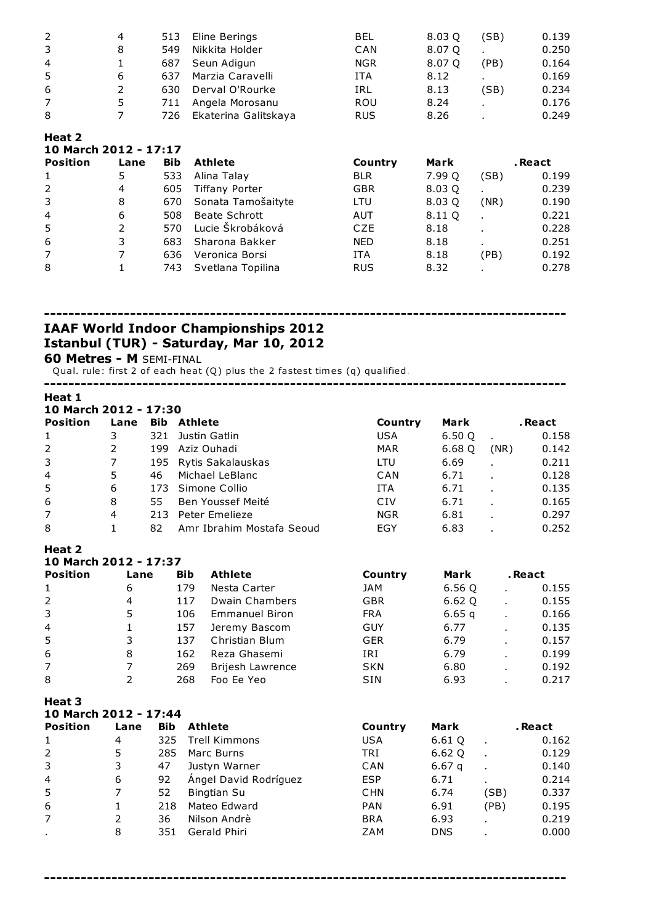| 2 | 4 | 513  | Eline Berings        | <b>BEL</b> | 8.03 Q | (SB) | 0.139 |
|---|---|------|----------------------|------------|--------|------|-------|
| 3 | 8 | 549  | Nikkita Holder       | CAN        | 8.07 Q |      | 0.250 |
| 4 |   | 687  | Seun Adigun          | <b>NGR</b> | 8.07 O | (PB) | 0.164 |
| 5 | 6 | 637  | Marzia Caravelli     | <b>ITA</b> | 8.12   |      | 0.169 |
| 6 |   | 630. | Derval O'Rourke      | IRL        | 8.13   | (SB) | 0.234 |
| 7 | 5 | 711  | Angela Morosanu      | <b>ROU</b> | 8.24   |      | 0.176 |
| 8 |   | 726  | Ekaterina Galitskaya | <b>RUS</b> | 8.26   |      | 0.249 |

| 10 March 2012 - 17:17 |      |            |                    |            |        |                |         |  |  |  |  |  |
|-----------------------|------|------------|--------------------|------------|--------|----------------|---------|--|--|--|--|--|
| <b>Position</b>       | Lane | <b>Bib</b> | <b>Athlete</b>     | Country    | Mark   |                | . React |  |  |  |  |  |
| 1                     | 5    | 533        | Alina Talay        | <b>BLR</b> | 7.99 Q | (SB)           | 0.199   |  |  |  |  |  |
| 2                     | 4    | 605        | Tiffany Porter     | <b>GBR</b> | 8.03 Q | ٠              | 0.239   |  |  |  |  |  |
| 3                     | 8    | 670        | Sonata Tamošaityte | LTU        | 8.03 Q | (NR)           | 0.190   |  |  |  |  |  |
| $\overline{4}$        | 6    | 508        | Beate Schrott      | AUT        | 8.11 Q | $\blacksquare$ | 0.221   |  |  |  |  |  |
| 5                     | 2    | 570        | Lucie Škrobáková   | <b>CZE</b> | 8.18   |                | 0.228   |  |  |  |  |  |
| 6                     | 3    | 683        | Sharona Bakker     | <b>NED</b> | 8.18   | ٠.             | 0.251   |  |  |  |  |  |
| $\overline{7}$        |      | 636        | Veronica Borsi     | <b>ITA</b> | 8.18   | (PB)           | 0.192   |  |  |  |  |  |
| 8                     |      | 743        | Svetlana Topilina  | <b>RUS</b> | 8.32   |                | 0.278   |  |  |  |  |  |

------------------------------------------------------------------------------------- IAAF World Indoor Championships 2012 Istanbul (TUR) - Saturday, Mar 10, 2012

Metres - M SEMI-FINAL

Heat 2

Qual. rule: first 2 of each heat (Q) plus the 2 fastest times (q) qualified.

-------------------------------------------------------------------------------------

| Heat 1<br>10 March 2012 - 17:30 |                |            |                    |                           |            |             |              |         |  |
|---------------------------------|----------------|------------|--------------------|---------------------------|------------|-------------|--------------|---------|--|
| <b>Position</b>                 | Lane           |            | <b>Bib Athlete</b> |                           | Country    | <b>Mark</b> |              | . React |  |
| 1                               | 3              | 321        |                    | Justin Gatlin             | <b>USA</b> | 6.50Q       |              | 0.158   |  |
| $\overline{2}$                  | $\overline{2}$ | 199        |                    | Aziz Ouhadi               | <b>MAR</b> | 6.68 Q      | (NR)         |         |  |
| 3                               | $\overline{7}$ | 195        |                    | Rytis Sakalauskas         | LTU        | 6.69        |              | 0.211   |  |
| 4                               | 5              | 46         |                    | Michael LeBlanc           | CAN        | 6.71        |              | 0.128   |  |
| 5                               | 6              | 173        |                    | Simone Collio             | <b>ITA</b> | 6.71        | $\mathbf{r}$ | 0.135   |  |
| 6                               | 8              | 55         |                    | Ben Youssef Meité         | CIV        | 6.71        |              | 0.165   |  |
| $\overline{7}$                  | $\overline{4}$ |            |                    | 213 Peter Emelieze        | <b>NGR</b> | 6.81        |              | 0.297   |  |
| 8                               | $\mathbf{1}$   | 82         |                    | Amr Ibrahim Mostafa Seoud | EGY        | 6.83        |              | 0.252   |  |
| Heat 2<br>10 March 2012 - 17:37 |                |            |                    |                           |            |             |              |         |  |
| <b>Position</b>                 | Lane           |            | <b>Bib</b>         | <b>Athlete</b>            | Country    | Mark        |              | . React |  |
| 1                               | 6              |            | 179                | Nesta Carter              | <b>JAM</b> | 6.56 Q      |              | 0.155   |  |
| $\overline{2}$                  | $\overline{4}$ |            | 117                | <b>Dwain Chambers</b>     | <b>GBR</b> | 6.62 Q      |              | 0.155   |  |
| 3                               | 5              |            | 106                | <b>Emmanuel Biron</b>     | <b>FRA</b> | 6.65q       | ä,           | 0.166   |  |
| 4                               | 1              |            | 157                | Jeremy Bascom             | <b>GUY</b> | 6.77        | L.           | 0.135   |  |
| 5                               | 3              |            | 137                | Christian Blum            | <b>GER</b> | 6.79        |              | 0.157   |  |
| 6                               | 8              |            | 162                | Reza Ghasemi              | IRI        | 6.79        |              | 0.199   |  |
| 7                               | $\overline{7}$ |            | 269                | <b>Brijesh Lawrence</b>   | <b>SKN</b> | 6.80        |              | 0.192   |  |
| 8                               | $\overline{2}$ |            | 268                | Foo Ee Yeo                | SIN        | 6.93        |              | 0.217   |  |
| Heat 3                          |                |            |                    |                           |            |             |              |         |  |
| 10 March 2012 - 17:44           |                |            |                    |                           |            |             |              |         |  |
| <b>Position</b>                 | Lane           | <b>Bib</b> |                    | <b>Athlete</b>            | Country    | Mark        |              | . React |  |
| 1                               | 4              | 325        |                    | <b>Trell Kimmons</b>      | <b>USA</b> | 6.61 Q      | ä,           | 0.162   |  |
| $\overline{2}$                  | 5              | 285        |                    | Marc Burns                | <b>TRI</b> | 6.62Q       | J.           | 0.129   |  |
| 3                               | 3              | 47         |                    | Justyn Warner             | CAN        | 6.67q       |              | 0.140   |  |
| $\overline{4}$                  | 6              | 92         |                    | Ángel David Rodríguez     | <b>ESP</b> | 6.71        |              | 0.214   |  |
| 5                               | $\overline{7}$ | 52         |                    | <b>Bingtian Su</b>        | <b>CHN</b> | 6.74        | (SB)         | 0.337   |  |
| 6                               | 1              | 218        |                    | Mateo Edward              | <b>PAN</b> | 6.91        | (PB)         | 0.195   |  |
| 7                               | 2              | 36         |                    | Nilson Andrè              | <b>BRA</b> | 6.93        |              | 0.219   |  |
| ٠                               | 8              | 351        |                    | Gerald Phiri              | <b>ZAM</b> | <b>DNS</b>  |              | 0.000   |  |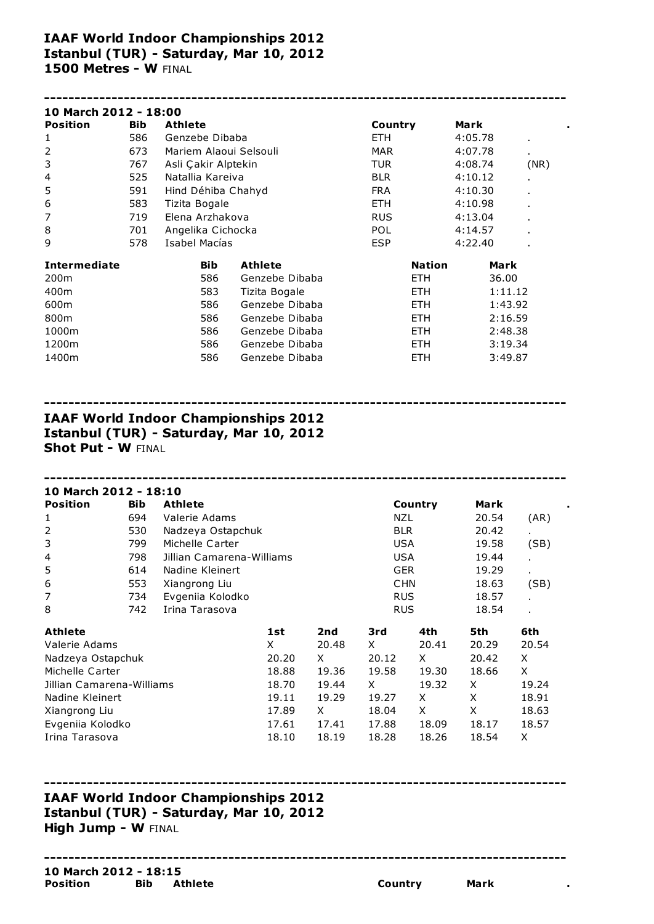## IAAF World Indoor Championships 2012 Istanbul (TUR) - Saturday, Mar 10, 2012 1500 Metres - W FINAL

| 10 March 2012 - 18:00 |            |                        |                |            |               |         |                |      |
|-----------------------|------------|------------------------|----------------|------------|---------------|---------|----------------|------|
| <b>Position</b>       | <b>Bib</b> | <b>Athlete</b>         |                | Country    |               | Mark    |                |      |
| 1                     | 586        | Genzebe Dibaba         |                | ETH.       |               | 4:05.78 | $\blacksquare$ |      |
| 2                     | 673        | Mariem Alaoui Selsouli |                | <b>MAR</b> |               | 4:07.78 | ٠.             |      |
| 3                     | 767        | Asli Çakir Alptekin    |                | TUR        |               | 4:08.74 |                | (NR) |
| 4                     | 525        | Natallia Kareiva       |                | <b>BLR</b> |               | 4:10.12 |                |      |
| 5                     | 591        | Hind Déhiba Chahyd     |                | <b>FRA</b> |               | 4:10.30 |                |      |
| 6                     | 583        | Tizita Bogale          |                | ETH.       |               | 4:10.98 |                |      |
| 7                     | 719        | Elena Arzhakova        |                | <b>RUS</b> |               | 4:13.04 |                |      |
| 8                     | 701        | Angelika Cichocka      |                | <b>POL</b> |               | 4:14.57 | $\blacksquare$ |      |
| 9                     | 578        | Isabel Macías          |                | <b>ESP</b> |               | 4:22.40 |                |      |
| <b>Intermediate</b>   |            | <b>Bib</b>             | <b>Athlete</b> |            | <b>Nation</b> |         | Mark           |      |
| 200 <sub>m</sub>      |            | 586                    | Genzebe Dibaba |            | ETH.          |         | 36.00          |      |
| 400m                  |            | 583                    | Tizita Bogale  |            | <b>ETH</b>    |         | 1:11.12        |      |
| 600m                  |            | 586                    | Genzebe Dibaba |            | <b>ETH</b>    |         | 1:43.92        |      |
| 800m                  |            | 586                    | Genzebe Dibaba |            | <b>ETH</b>    |         | 2:16.59        |      |
| 1000m                 |            | 586                    | Genzebe Dibaba |            | ETH.          |         | 2:48.38        |      |
| 1200m                 |            | 586                    | Genzebe Dibaba |            | ETH.          |         | 3:19.34        |      |
| 1400m                 |            | 586                    | Genzebe Dibaba |            | <b>ETH</b>    |         | 3:49.87        |      |

------------------------------------------------------------------------------------- IAAF World Indoor Championships 2012 Istanbul (TUR) - Saturday, Mar 10, 2012 Shot Put - W FINAL

| 10 March 2012 - 18:10     |            |                           |       |       |            |         |       |       |  |
|---------------------------|------------|---------------------------|-------|-------|------------|---------|-------|-------|--|
| <b>Position</b>           | <b>Bib</b> | <b>Athlete</b>            |       |       |            | Country | Mark  |       |  |
| 1                         | 694        | Valerie Adams             |       |       | NZL        |         | 20.54 | (AR)  |  |
| 2                         | 530        | Nadzeya Ostapchuk         |       |       | <b>BLR</b> |         | 20.42 |       |  |
| 3                         | 799        | Michelle Carter           |       |       | <b>USA</b> |         | 19.58 | (SB)  |  |
| 4                         | 798        | Jillian Camarena-Williams |       |       | <b>USA</b> |         | 19.44 |       |  |
| 5                         | 614        | Nadine Kleinert           |       |       |            |         | 19.29 | ×.    |  |
| 6                         | 553        | Xiangrong Liu             |       |       |            |         | 18.63 | (SB)  |  |
| 7                         | 734        | Evgeniia Kolodko          |       |       |            |         | 18.57 |       |  |
| 8                         | 742        | Irina Tarasova            |       |       | <b>RUS</b> |         | 18.54 |       |  |
| <b>Athlete</b>            |            |                           | 1st   | 2nd   | 3rd        | 4th     | 5th   | 6th   |  |
| Valerie Adams             |            |                           | X     | 20.48 | X.         | 20.41   | 20.29 | 20.54 |  |
| Nadzeya Ostapchuk         |            |                           | 20.20 | X.    | 20.12      | X       | 20.42 | X     |  |
| Michelle Carter           |            |                           | 18.88 | 19.36 | 19.58      | 19.30   | 18.66 | X     |  |
| Jillian Camarena-Williams |            |                           | 18.70 | 19.44 | X.         | 19.32   | X     | 19.24 |  |
| Nadine Kleinert           |            |                           | 19.11 | 19.29 | 19.27      | X       | X     | 18.91 |  |
| Xiangrong Liu             |            |                           | 17.89 | X     | 18.04      | X       | X     | 18.63 |  |
| Evgeniia Kolodko          |            |                           | 17.61 | 17.41 | 17.88      | 18.09   | 18.17 | 18.57 |  |
| Irina Tarasova            |            | 18.10                     | 18.19 | 18.28 | 18.26      | 18.54   | X     |       |  |

-------------------------------------------------------------------------------------

## ------------------------------------------------------------------------------------- IAAF World Indoor Championships 2012 Istanbul (TUR) - Saturday, Mar 10, 2012 High Jump - W FINAL

#### 10 March 2012 - 18:15 Position Bib Athlete **Country** Mark .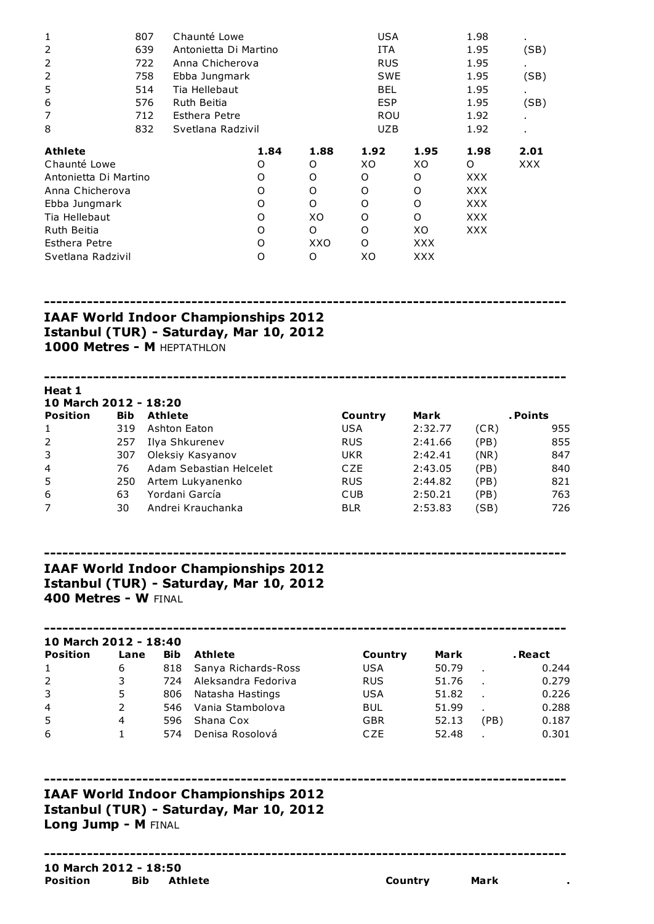| Chaunté Lowe<br>807   |                   |                       |                                              | USA        |            |                                                             |      |
|-----------------------|-------------------|-----------------------|----------------------------------------------|------------|------------|-------------------------------------------------------------|------|
| 639                   |                   | Antonietta Di Martino |                                              |            |            | 1.95                                                        | (SB) |
| 722                   | Anna Chicherova   |                       |                                              |            |            | 1.95                                                        |      |
| 758                   | Ebba Jungmark     |                       |                                              |            |            | 1.95                                                        | (SB) |
| 514                   | Tia Hellebaut     |                       |                                              | <b>BEL</b> |            | 1.95                                                        |      |
| 576                   | Ruth Beitia       |                       |                                              |            |            | 1.95                                                        | (SB) |
| 712                   | Esthera Petre     |                       |                                              |            |            | 1.92                                                        |      |
| 832                   | Svetlana Radzivil |                       |                                              |            |            | 1.92                                                        |      |
|                       |                   |                       | 1.88                                         | 1.92       | 1.95       | 1.98                                                        | 2.01 |
|                       |                   |                       | O                                            | XO         | XO         | O                                                           | XXX  |
| Antonietta Di Martino |                   |                       | O                                            | O          | O          | <b>XXX</b>                                                  |      |
| Anna Chicherova       |                   |                       | O                                            | O          | O          | <b>XXX</b>                                                  |      |
| Ebba Jungmark         |                   |                       | O                                            | O          | O          | <b>XXX</b>                                                  |      |
| Tia Hellebaut         |                   |                       | XO                                           | O          | O          | <b>XXX</b>                                                  |      |
|                       |                   |                       | O                                            | O          | XO         | <b>XXX</b>                                                  |      |
|                       |                   |                       | XXO                                          | O          | <b>XXX</b> |                                                             |      |
| Svetlana Radzivil     |                   |                       | 0                                            | XО         | <b>XXX</b> |                                                             |      |
|                       |                   |                       | 1.84<br>O<br>O<br>O<br>O<br>O<br>O<br>O<br>O |            | <b>ITA</b> | <b>RUS</b><br><b>SWE</b><br><b>ESP</b><br>ROU<br><b>UZB</b> | 1.98 |

## IAAF World Indoor Championships 2012 Istanbul (TUR) - Saturday, Mar 10, 2012 1000 Metres - M HEPTATHLON

Heat 1 March 2012 - 18:20 Position Bib Athlete **Country Mark** . Points 319 Ashton Eaton USA 2:32.77 (CR) 955 257 Ilya Shkurenev RUS 2:41.66 (PB) 855 307 Oleksiy Kasyanov UKR 2:42.41 (NR) 847 76 Adam Sebastian Helcelet CZE 2:43.05 (PB) 840 250 Artem Lukyanenko RUS 2:44.82 (PB) 821 63 Yordani García CUB 2:50.21 (PB) 763 30 Andrei Krauchanka BLR 2:53.83 (SB) 726

-------------------------------------------------------------------------------------

-------------------------------------------------------------------------------------

-------------------------------------------------------------------------------------

# IAAF World Indoor Championships 2012 Istanbul (TUR) - Saturday, Mar 10, 2012 400 Metres - W FINAL

#### 10 March 2012 - 18:40

| <b>Position</b> | Lane | <b>Bib</b> | <b>Athlete</b>          | Country    | Mark  |      | . React |
|-----------------|------|------------|-------------------------|------------|-------|------|---------|
| $\mathbf{1}$    | 6    |            | 818 Sanya Richards-Ross | <b>USA</b> | 50.79 |      | 0.244   |
| 2               |      | 724        | Aleksandra Fedoriva     | <b>RUS</b> | 51.76 |      | 0.279   |
| 3               | 5.   | 806        | Natasha Hastings        | <b>USA</b> | 51.82 |      | 0.226   |
| $\overline{4}$  |      | 546.       | Vania Stambolova        | <b>BUL</b> | 51.99 |      | 0.288   |
| 5               | 4    | 596.       | Shana Cox               | <b>GBR</b> | 52.13 | 'PB) | 0.187   |
| -6              |      | 574        | Denisa Rosolová         | CZE.       | 52.48 |      | 0.301   |
|                 |      |            |                         |            |       |      |         |

#### ------------------------------------------------------------------------------------- IAAF World Indoor Championships 2012 Istanbul (TUR) - Saturday, Mar 10, 2012 Long Jump - M FINAL

# -------------------------------------------------------------------------------------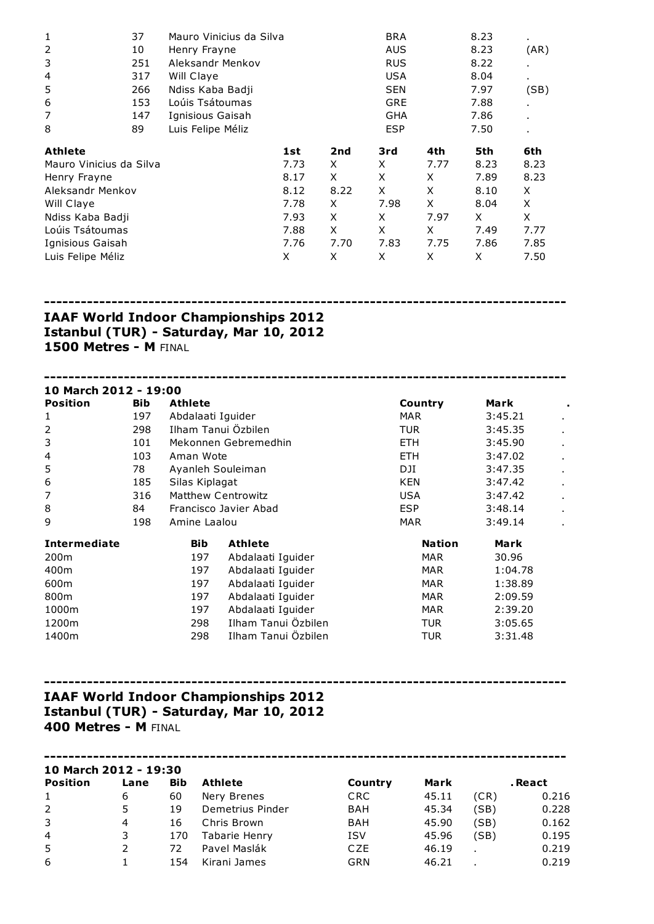| $\mathbf{1}$            | 37<br>Mauro Vinicius da Silva |                   |      |      | <b>BRA</b> |      | 8.23 | $\blacksquare$ |
|-------------------------|-------------------------------|-------------------|------|------|------------|------|------|----------------|
| $\overline{2}$          | 10                            | Henry Frayne      |      |      |            |      | 8.23 | (AR)           |
| 3                       | 251                           | Aleksandr Menkov  |      |      | <b>RUS</b> |      | 8.22 |                |
| 4                       | 317                           | Will Claye        |      |      | <b>USA</b> |      | 8.04 | $\blacksquare$ |
| 5                       | 266                           | Ndiss Kaba Badji  |      |      | <b>SEN</b> |      | 7.97 | (SB)           |
| 6                       | 153                           | Loúis Tsátoumas   |      |      |            |      | 7.88 |                |
| 7                       | 147                           | Ignisious Gaisah  |      |      |            |      | 7.86 |                |
| 8                       | 89                            | Luis Felipe Méliz |      |      | <b>ESP</b> |      | 7.50 |                |
| Athlete                 |                               |                   | 1st  | 2nd  | 3rd        | 4th  | 5th  | 6th            |
| Mauro Vinicius da Silva |                               |                   | 7.73 | X    | X          | 7.77 | 8.23 | 8.23           |
| Henry Frayne            |                               |                   | 8.17 | X    | X          | X    | 7.89 | 8.23           |
| Aleksandr Menkov        |                               |                   | 8.12 | 8.22 | X          | X    | 8.10 | X              |
| Will Claye              |                               |                   | 7.78 | X    | 7.98       | X    | 8.04 | X              |
| Ndiss Kaba Badji        |                               |                   | 7.93 | X    | X          | 7.97 | X    | X              |
| Loúis Tsátoumas         |                               | 7.88              | X    | X    | X          | 7.49 | 7.77 |                |
| Ignisious Gaisah        |                               | 7.76              | 7.70 | 7.83 | 7.75       | 7.86 | 7.85 |                |
| Luis Felipe Méliz       |                               |                   | X    | X    | X          | X    | X    | 7.50           |

-------------------------------------------------------------------------------------

## IAAF World Indoor Championships 2012 Istanbul (TUR) - Saturday, Mar 10, 2012 1500 Metres - M FINAL

| 10 March 2012 - 19:00 |            |                   |                       |               |         |                |
|-----------------------|------------|-------------------|-----------------------|---------------|---------|----------------|
| <b>Position</b>       | <b>Bib</b> | <b>Athlete</b>    |                       | Country       | Mark    |                |
| 1                     | 197        | Abdalaati Iguider |                       | MAR.          | 3:45.21 |                |
| 2                     | 298        |                   | Ilham Tanui Özbilen   | <b>TUR</b>    | 3:45.35 |                |
| 3                     | 101        |                   | Mekonnen Gebremedhin  | ETH.          | 3:45.90 |                |
| 4                     | 103        | Aman Wote         |                       | <b>ETH</b>    | 3:47.02 |                |
| 5                     | 78         | Ayanleh Souleiman |                       | DJI           | 3:47.35 |                |
| 6                     | 185        | Silas Kiplagat    |                       | <b>KEN</b>    | 3:47.42 | $\blacksquare$ |
| 7                     | 316        |                   | Matthew Centrowitz    | <b>USA</b>    | 3:47.42 | $\blacksquare$ |
| 8                     | 84         |                   | Francisco Javier Abad | <b>ESP</b>    | 3:48.14 |                |
| 9                     | 198        | Amine Laalou      |                       | <b>MAR</b>    | 3:49.14 |                |
| <b>Intermediate</b>   |            | <b>Bib</b>        | <b>Athlete</b>        | <b>Nation</b> | Mark    |                |
| 200 <sub>m</sub>      |            | 197               | Abdalaati Iguider     | <b>MAR</b>    | 30.96   |                |
| 400m                  |            | 197               | Abdalaati Iguider     | <b>MAR</b>    | 1:04.78 |                |
| 600m                  |            | 197               | Abdalaati Iguider     | <b>MAR</b>    | 1:38.89 |                |
| 800m                  |            | 197               | Abdalaati Iguider     | <b>MAR</b>    | 2:09.59 |                |
| 1000m                 |            | 197               | Abdalaati Iguider     | <b>MAR</b>    | 2:39.20 |                |
| 1200m                 |            | 298               | Ilham Tanui Özbilen   | TUR           | 3:05.65 |                |
| 1400m                 |            | 298               | Ilham Tanui Özbilen   | TUR           | 3:31.48 |                |

# IAAF World Indoor Championships 2012 Istanbul (TUR) - Saturday, Mar 10, 2012 400 Metres - M FINAL

| 10 March 2012 - 19:30 |      |            |                  |            |       |      |         |  |  |  |
|-----------------------|------|------------|------------------|------------|-------|------|---------|--|--|--|
| <b>Position</b>       | Lane | <b>Bib</b> | <b>Athlete</b>   | Country    | Mark  |      | . React |  |  |  |
| $\mathbf{1}$          | 6    | 60         | Nery Brenes      | <b>CRC</b> | 45.11 | (CR) | 0.216   |  |  |  |
| 2                     | 5    | 19         | Demetrius Pinder | <b>BAH</b> | 45.34 | (SB) | 0.228   |  |  |  |
| 3                     | 4    | 16         | Chris Brown      | BAH        | 45.90 | (SB) | 0.162   |  |  |  |
| $\overline{4}$        | 3    | 170        | Tabarie Henry    | <b>ISV</b> | 45.96 | (SB) | 0.195   |  |  |  |
| 5                     |      | 72         | Pavel Maslák     | CZE        | 46.19 |      | 0.219   |  |  |  |
| 6                     |      | 154        | Kirani James     | GRN        | 46.21 |      | 0.219   |  |  |  |